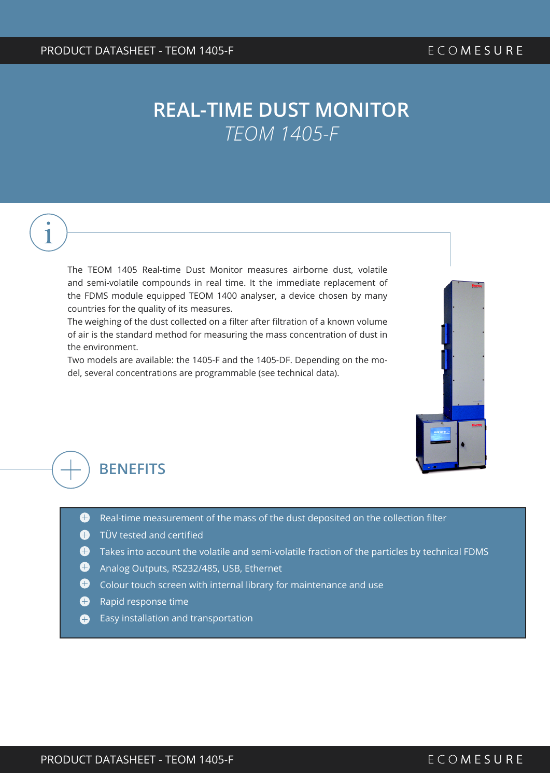# 1

The TEOM 1405 Real-time Dust Monitor measures airborne dust, volatile and semi-volatile compounds in real time. It the immediate replacement of the FDMS module equipped TEOM 1400 analyser, a device chosen by many countries for the quality of its measures.

The weighing of the dust collected on a filter after filtration of a known volume of air is the standard method for measuring the mass concentration of dust in the environment.

Two models are available: the 1405-F and the 1405-DF. Depending on the model, several concentrations are programmable (see technical data).



#### **BENEFITS**

- $\bigoplus$  Real-time measurement of the mass of the dust deposited on the collection filter
- **O** TÜV tested and certified
- $\bigoplus$  Takes into account the volatile and semi-volatile fraction of the particles by technical FDMS
- **Analog Outputs, RS232/485, USB, Ethernet**
- $\bigodot$  Colour touch screen with internal library for maintenance and use
- **A** Rapid response time
- **Easy installation and transportation**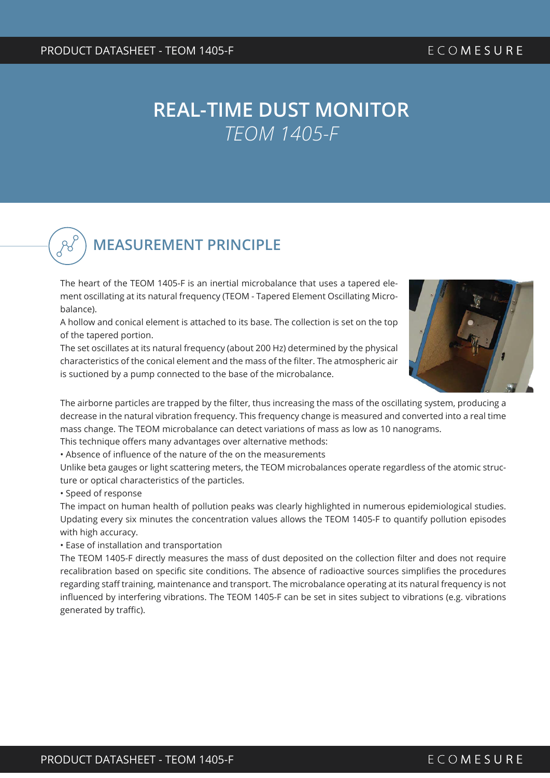**MEASUREMENT PRINCIPLE** 

The heart of the TEOM 1405-F is an inertial microbalance that uses a tapered element oscillating at its natural frequency (TEOM - Tapered Element Oscillating Microbalance).

A hollow and conical element is attached to its base. The collection is set on the top of the tapered portion.

The set oscillates at its natural frequency (about 200 Hz) determined by the physical characteristics of the conical element and the mass of the filter. The atmospheric air is suctioned by a pump connected to the base of the microbalance.



The airborne particles are trapped by the filter, thus increasing the mass of the oscillating system, producing a decrease in the natural vibration frequency. This frequency change is measured and converted into a real time mass change. The TEOM microbalance can detect variations of mass as low as 10 nanograms.

This technique offers many advantages over alternative methods:

• Absence of influence of the nature of the on the measurements

Unlike beta gauges or light scattering meters, the TEOM microbalances operate regardless of the atomic structure or optical characteristics of the particles.

• Speed of response

The impact on human health of pollution peaks was clearly highlighted in numerous epidemiological studies. Updating every six minutes the concentration values allows the TEOM 1405-F to quantify pollution episodes with high accuracy.

• Ease of installation and transportation

The TEOM 1405-F directly measures the mass of dust deposited on the collection filter and does not require recalibration based on specific site conditions. The absence of radioactive sources simplifies the procedures regarding staff training, maintenance and transport. The microbalance operating at its natural frequency is not influenced by interfering vibrations. The TEOM 1405-F can be set in sites subject to vibrations (e.g. vibrations generated by traffic).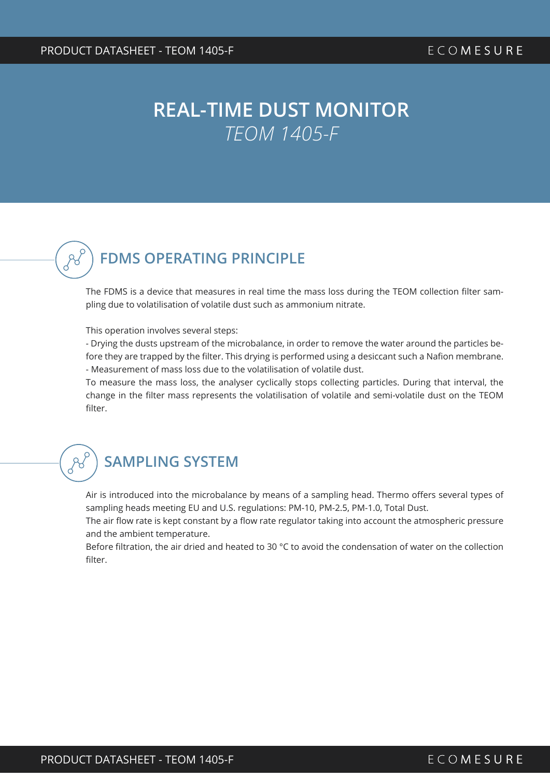

#### **FDMS OPERATING PRINCIPLE**

The FDMS is a device that measures in real time the mass loss during the TEOM collection filter sampling due to volatilisation of volatile dust such as ammonium nitrate.

#### This operation involves several steps:

- Drying the dusts upstream of the microbalance, in order to remove the water around the particles before they are trapped by the filter. This drying is performed using a desiccant such a Nafion membrane. - Measurement of mass loss due to the volatilisation of volatile dust.

To measure the mass loss, the analyser cyclically stops collecting particles. During that interval, the change in the filter mass represents the volatilisation of volatile and semi-volatile dust on the TEOM filter.

#### **SAMPLING SYSTEM**

Air is introduced into the microbalance by means of a sampling head. Thermo offers several types of sampling heads meeting EU and U.S. regulations: PM-10, PM-2.5, PM-1.0, Total Dust.

The air flow rate is kept constant by a flow rate regulator taking into account the atmospheric pressure and the ambient temperature.

Before filtration, the air dried and heated to 30 °C to avoid the condensation of water on the collection filter.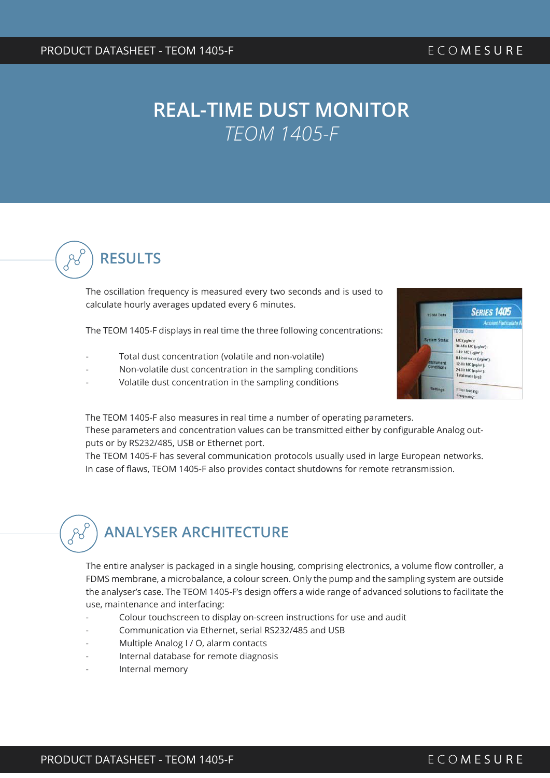

The oscillation frequency is measured every two seconds and is used to calculate hourly averages updated every 6 minutes.

The TEOM 1405-F displays in real time the three following concentrations:

- Total dust concentration (volatile and non-volatile)
- Non-volatile dust concentration in the sampling conditions
- Volatile dust concentration in the sampling conditions



The TEOM 1405-F also measures in real time a number of operating parameters.

These parameters and concentration values can be transmitted either by configurable Analog outputs or by RS232/485, USB or Ethernet port.

The TEOM 1405-F has several communication protocols usually used in large European networks. In case of flaws, TEOM 1405-F also provides contact shutdowns for remote retransmission.

# **ANALYSER ARCHITECTURE**

The entire analyser is packaged in a single housing, comprising electronics, a volume flow controller, a FDMS membrane, a microbalance, a colour screen. Only the pump and the sampling system are outside the analyser's case. The TEOM 1405-F's design offers a wide range of advanced solutions to facilitate the use, maintenance and interfacing:

- Colour touchscreen to display on-screen instructions for use and audit
- Communication via Ethernet, serial RS232/485 and USB
- Multiple Analog I / O, alarm contacts
- Internal database for remote diagnosis
- Internal memory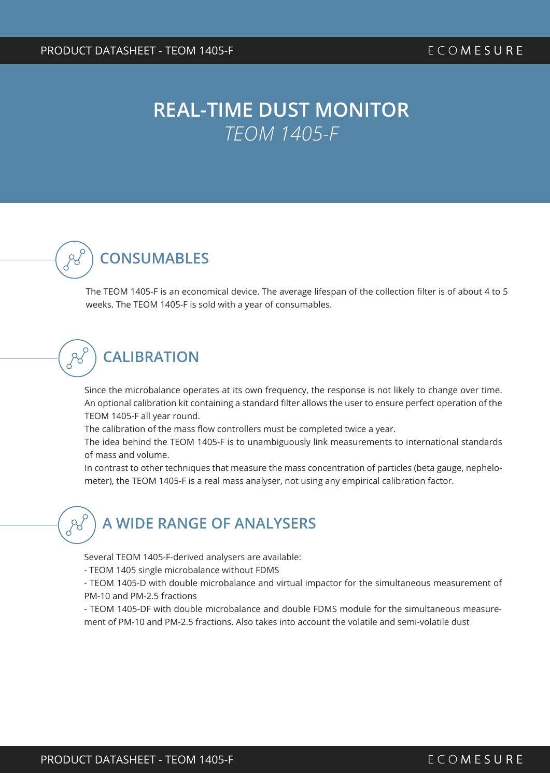

The TEOM 1405-F is an economical device. The average lifespan of the collection filter is of about 4 to 5 weeks. The TEOM 1405-F is sold with a year of consumables.

## **CALIBRATION**

Since the microbalance operates at its own frequency, the response is not likely to change over time. An optional calibration kit containing a standard filter allows the user to ensure perfect operation of the TEOM 1405-F all year round.

The calibration of the mass flow controllers must be completed twice a year.

The idea behind the TEOM 1405-F is to unambiguously link measurements to international standards of mass and volume.

In contrast to other techniques that measure the mass concentration of particles (beta gauge, nephelometer), the TEOM 1405-F is a real mass analyser, not using any empirical calibration factor.

#### **A WIDE RANGE OF ANALYSERS**

Several TEOM 1405-F-derived analysers are available:

- TEOM 1405 single microbalance without FDMS

- TEOM 1405-D with double microbalance and virtual impactor for the simultaneous measurement of PM-10 and PM-2.5 fractions

- TEOM 1405-DF with double microbalance and double FDMS module for the simultaneous measurement of PM-10 and PM-2.5 fractions. Also takes into account the volatile and semi-volatile dust